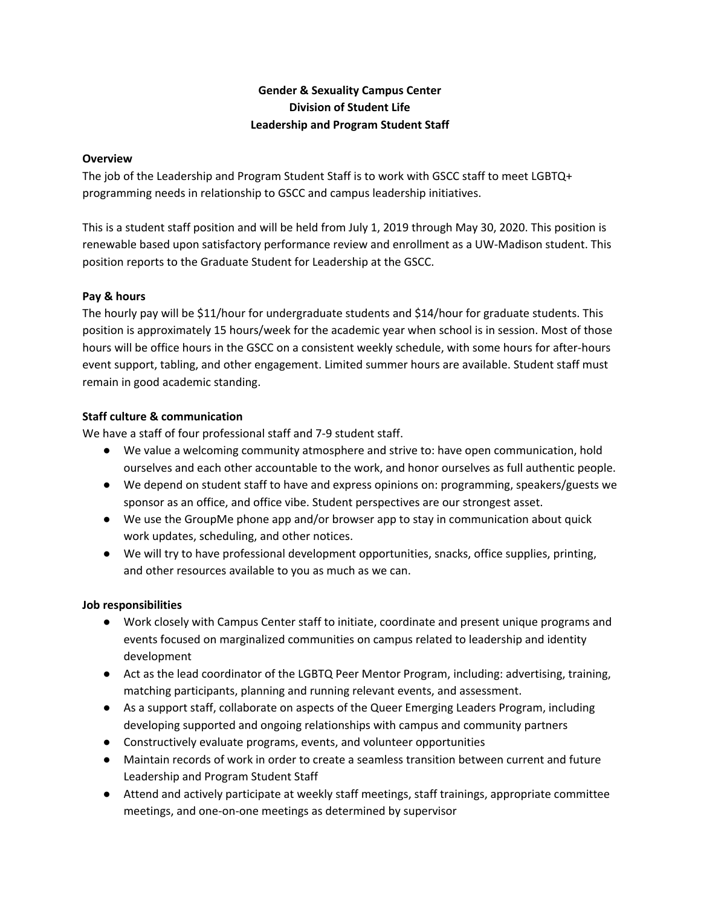# **Gender & Sexuality Campus Center Division of Student Life Leadership and Program Student Staff**

#### **Overview**

The job of the Leadership and Program Student Staff is to work with GSCC staff to meet LGBTQ+ programming needs in relationship to GSCC and campus leadership initiatives.

This is a student staff position and will be held from July 1, 2019 through May 30, 2020. This position is renewable based upon satisfactory performance review and enrollment as a UW-Madison student. This position reports to the Graduate Student for Leadership at the GSCC.

# **Pay & hours**

The hourly pay will be \$11/hour for undergraduate students and \$14/hour for graduate students. This position is approximately 15 hours/week for the academic year when school is in session. Most of those hours will be office hours in the GSCC on a consistent weekly schedule, with some hours for after-hours event support, tabling, and other engagement. Limited summer hours are available. Student staff must remain in good academic standing.

# **Staff culture & communication**

We have a staff of four professional staff and 7-9 student staff.

- We value a welcoming community atmosphere and strive to: have open communication, hold ourselves and each other accountable to the work, and honor ourselves as full authentic people.
- We depend on student staff to have and express opinions on: programming, speakers/guests we sponsor as an office, and office vibe. Student perspectives are our strongest asset.
- We use the GroupMe phone app and/or browser app to stay in communication about quick work updates, scheduling, and other notices.
- We will try to have professional development opportunities, snacks, office supplies, printing, and other resources available to you as much as we can.

#### **Job responsibilities**

- Work closely with Campus Center staff to initiate, coordinate and present unique programs and events focused on marginalized communities on campus related to leadership and identity development
- Act as the lead coordinator of the LGBTQ Peer Mentor Program, including: advertising, training, matching participants, planning and running relevant events, and assessment.
- As a support staff, collaborate on aspects of the Queer Emerging Leaders Program, including developing supported and ongoing relationships with campus and community partners
- Constructively evaluate programs, events, and volunteer opportunities
- Maintain records of work in order to create a seamless transition between current and future Leadership and Program Student Staff
- Attend and actively participate at weekly staff meetings, staff trainings, appropriate committee meetings, and one-on-one meetings as determined by supervisor